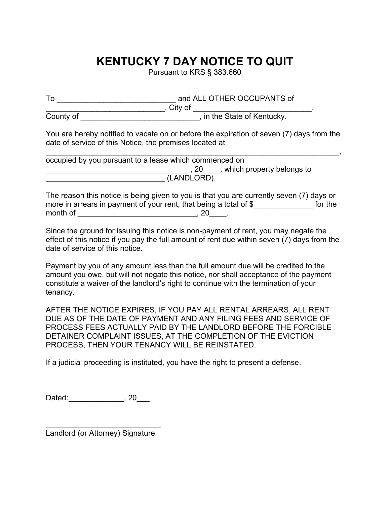## **KENTUCKY 7 DAY NOTICE TO QUIT**

Pursuant to KRS § 383.660

To \_\_\_\_\_\_\_\_\_\_\_\_\_\_\_\_\_\_\_\_\_\_\_\_\_\_\_\_ and ALL OTHER OCCUPANTS of \_\_\_\_\_\_\_\_\_\_\_\_\_\_\_\_\_\_\_\_\_\_\_\_\_\_\_\_, City of \_\_\_\_\_\_\_\_\_\_\_\_\_\_\_\_\_\_\_\_\_\_\_\_\_\_\_\_, County of \_\_\_\_\_\_\_\_\_\_\_\_\_\_\_\_\_\_\_\_\_\_\_\_\_\_\_\_\_\_\_\_, in the State of Kentucky.

You are hereby notified to vacate on or before the expiration of seven (7) days from the date of service of this Notice, the premises located at

| occupied by you pursuant to a lease which commenced on |  |  |
|--------------------------------------------------------|--|--|
| , which property belongs to<br>. 20                    |  |  |
| (LANDLORD).                                            |  |  |

The reason this notice is being given to you is that you are currently seven (7) days or more in arrears in payment of your rent, that being a total of \$\_\_\_\_\_\_\_\_\_\_\_\_\_\_\_ for the month of \_\_\_\_\_\_\_\_\_\_\_\_\_\_\_\_\_\_\_\_\_\_\_\_\_\_\_\_, 20\_\_\_\_.

Since the ground for issuing this notice is non-payment of rent, you may negate the effect of this notice if you pay the full amount of rent due within seven (7) days from the date of service of this notice.

Payment by you of any amount less than the full amount due will be credited to the amount you owe, but will not negate this notice, nor shall acceptance of the payment constitute a waiver of the landlord's right to continue with the termination of your tenancy.

AFTER THE NOTICE EXPIRES, IF YOU PAY ALL RENTAL ARREARS, ALL RENT DUE AS OF THE DATE OF PAYMENT AND ANY FILING FEES AND SERVICE OF PROCESS FEES ACTUALLY PAID BY THE LANDLORD BEFORE THE FORCIBLE DETAINER COMPLAINT ISSUES, AT THE COMPLETION OF THE EVICTION PROCESS, THEN YOUR TENANCY WILL BE REINSTATED.

If a judicial proceeding is instituted, you have the right to present a defense.

Dated:  $, 20$ 

\_\_\_\_\_\_\_\_\_\_\_\_\_\_\_\_\_\_\_\_\_\_\_\_\_\_\_ Landlord (or Attorney) Signature